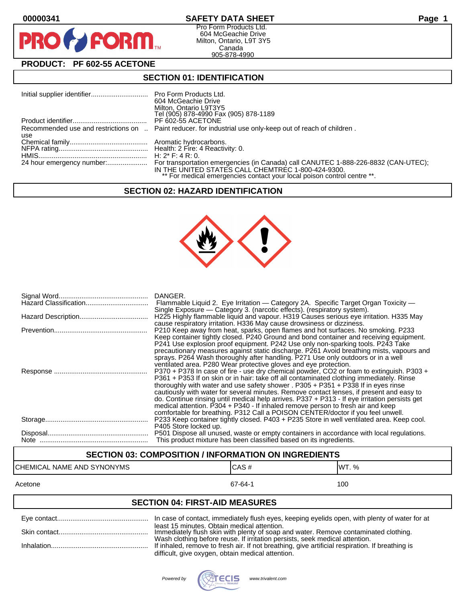

## **00000341 SAFETY DATA SHEET Page 1**

Pro Form Products Ltd. 604 McGeachie Drive Milton, Ontario, L9T 3Y5 Canada 905-878-4990

## **PRODUCT: PF 602-55 ACETONE**

## **SECTION 01: IDENTIFICATION**

|     | 604 McGeachie Drive<br>Milton, Ontario L9T3Y5<br>Tel (905) 878-4990 Fax (905) 878-1189                                        |
|-----|-------------------------------------------------------------------------------------------------------------------------------|
|     | PF 602-55 ACETONE                                                                                                             |
| use | Recommended use and restrictions on  Paint reducer, for industrial use only-keep out of reach of children.                    |
|     |                                                                                                                               |
|     |                                                                                                                               |
|     | IN THE UNITED STATES CALL CHEMTREC 1-800-424-9300.<br>** For medical emergencies contact your local poison control centre **. |

#### **SECTION 02: HAZARD IDENTIFICATION**



| DANGER.<br>Flammable Liquid 2. Eye Irritation — Category 2A. Specific Target Organ Toxicity —<br>Single Exposure — Category 3. (narcotic effects). (respiratory system).                                                                                                                                                                                                                                                                                                                                                                                                                                                                       |
|------------------------------------------------------------------------------------------------------------------------------------------------------------------------------------------------------------------------------------------------------------------------------------------------------------------------------------------------------------------------------------------------------------------------------------------------------------------------------------------------------------------------------------------------------------------------------------------------------------------------------------------------|
| H225 Highly flammable liquid and vapour. H319 Causes serious eve irritation. H335 May<br>cause respiratory irritation. H336 May cause drowsiness or dizziness.                                                                                                                                                                                                                                                                                                                                                                                                                                                                                 |
| P210 Keep away from heat, sparks, open flames and hot surfaces. No smoking. P233<br>Keep container tightly closed. P240 Ground and bond container and receiving equipment.<br>P241 Use explosion proof equipment. P242 Use only non-sparking tools. P243 Take<br>precautionary measures against static discharge. P261 Avoid breathing mists, vapours and<br>sprays. P264 Wash thoroughly after handling. P271 Use only outdoors or in a well<br>ventilated area. P280 Wear protective gloves and eye protection.                                                                                                                              |
| P370 + P378 In case of fire - use dry chemical powder, CO2 or foam to extinguish. P303 +<br>P361 + P353 If on skin or in hair: take off all contaminated clothing immediately. Rinse<br>thoroughly with water and use safety shower . $P305 + P351 + P338$ If in eyes rinse<br>cautiously with water for several minutes. Remove contact lenses, if present and easy to<br>do. Continue rinsing until medical help arrives. P337 + P313 - If eye irritation persists get<br>medical attention. P304 + P340 - If inhaled remove person to fresh air and keep<br>comfortable for breathing. P312 Call a POISON CENTER/doctor if you feel unwell. |
| P233 Keep container tightly closed. P403 + P235 Store in well ventilated area. Keep cool.<br>P405 Store locked up.                                                                                                                                                                                                                                                                                                                                                                                                                                                                                                                             |
| P501 Dispose all unused, waste or empty containers in accordance with local regulations.<br>This product mixture has been classified based on its ingredients.                                                                                                                                                                                                                                                                                                                                                                                                                                                                                 |

## **SECTION 03: COMPOSITION / INFORMATION ON INGREDIENTS**

# CHEMICAL NAME AND SYNONYMS CAS # CAS # WT. %

#### Acetone 67-64-1 100

## **SECTION 04: FIRST-AID MEASURES**

| least 15 minutes. Obtain medical attention.<br>Immediately flush skin with plenty of soap and water. Remove contaminated clothing.                                             |
|--------------------------------------------------------------------------------------------------------------------------------------------------------------------------------|
| Wash clothing before reuse. If irritation persists, seek medical attention.<br>If inhaled, remove to fresh air. If not breathing, give artificial respiration. If breathing is |
| difficult, give oxygen, obtain medical attention.                                                                                                                              |

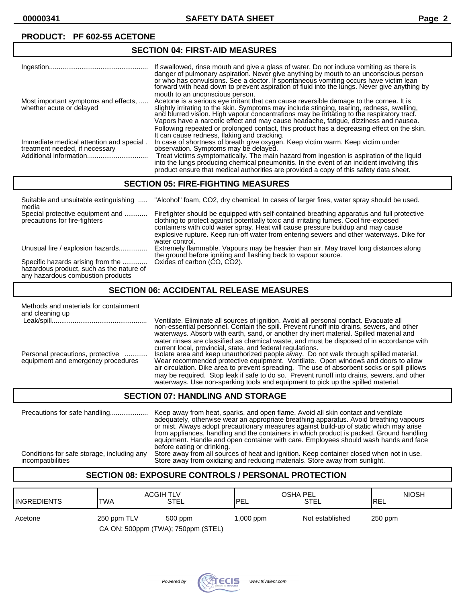#### **SECTION 04: FIRST-AID MEASURES** Ingestion.................................................... If swallowed, rinse mouth and give a glass of water. Do not induce vomiting as there is danger of pulmonary aspiration. Never give anything by mouth to an unconscious person or who has convulsions. See a doctor. If spontaneous vomiting occurs have victim lean forward with head down to prevent aspiration of fluid into the lŭngs. Never give anything by mouth to an unconscious person. Most important symptoms and effects, ..... Acetone is a serious eye irritant that can cause reversible damage to the cornea. It is whether acute or delayed slightly irritating to the skin. Symptoms may include stinging, tearing, redness, swelling, and blurred vision. High vapour concentrations may be irritating to the respiratory tract. Vapors have a narcotic effect and may cause headache, fatigue, dizziness and nausea. Following repeated or prolonged contact, this product has a degreasing effect on the skin. It can cause redness, flaking and cracking. Immediate medical attention and special . In case of shortness of breath give oxygen. Keep victim warm. Keep victim under<br>treatment needed, if necessary observation. Symptoms may be delayed. treatment needed, if necessary observation. Symptoms may be delayed. Treat victims symptomatically. The main hazard from ingestion is aspiration of the liquid into the lungs producing chemical pneumonitis. In the event of an incident involving this product ensure that medical authorities are provided a copy of this safety data sheet.

#### **SECTION 05: FIRE-FIGHTING MEASURES**

| Suitable and unsuitable extinguishing<br>media                                                                     | "Alcohol" foam, CO2, dry chemical. In cases of larger fires, water spray should be used.                                                                                                                                                                                                                                                                                              |
|--------------------------------------------------------------------------------------------------------------------|---------------------------------------------------------------------------------------------------------------------------------------------------------------------------------------------------------------------------------------------------------------------------------------------------------------------------------------------------------------------------------------|
| Special protective equipment and<br>precautions for fire-fighters                                                  | Firefighter should be equipped with self-contained breathing apparatus and full protective<br>clothing to protect against potentially toxic and irritating fumes. Cool fire-exposed<br>containers with cold water spray. Heat will cause pressure buildup and may cause<br>explosive rupture. Keep run-off water from entering sewers and other waterways. Dike for<br>water control. |
| Unusual fire / explosion hazards                                                                                   | Extremely flammable. Vapours may be heavier than air. May travel long distances along<br>the ground before igniting and flashing back to vapour source.                                                                                                                                                                                                                               |
| Specific hazards arising from the<br>hazardous product, such as the nature of<br>any hazardous combustion products | Oxides of carbon (CO, CO2).                                                                                                                                                                                                                                                                                                                                                           |

#### **SECTION 06: ACCIDENTAL RELEASE MEASURES**

| Methods and materials for containment<br>and cleaning up               |                                                                                                                                                                                                                                                                                                                                                                                                                                                                                                                                     |
|------------------------------------------------------------------------|-------------------------------------------------------------------------------------------------------------------------------------------------------------------------------------------------------------------------------------------------------------------------------------------------------------------------------------------------------------------------------------------------------------------------------------------------------------------------------------------------------------------------------------|
|                                                                        | Ventilate. Eliminate all sources of ignition. Avoid all personal contact. Evacuate all non-essential personnel. Contain the spill. Prevent runoff into drains, sewers, and other<br>waterways. Absorb with earth, sand, or another dry inert material. Spilled material and                                                                                                                                                                                                                                                         |
| Personal precautions, protective<br>equipment and emergency procedures | water rinses are classified as chemical waste, and must be disposed of in accordance with<br>current local, provincial, state, and federal regulations.<br>Isolate area and keep unauthorized people away. Do not walk through spilled material.<br>Wear recommended protective equipment. Ventilate. Open windows and doors to allow<br>air circulation. Dike area to prevent spreading. The use of absorbent socks or spill pillows<br>may be required. Stop leak if safe to do so. Prevent runoff into drains, sewers, and other |
|                                                                        | waterways. Use non-sparking tools and equipment to pick up the spilled material.                                                                                                                                                                                                                                                                                                                                                                                                                                                    |

## **SECTION 07: HANDLING AND STORAGE**

Precautions for safe handling.................... Keep away from heat, sparks, and open flame. Avoid all skin contact and ventilate adequately, otherwise wear an appropriate breathing apparatus. Avoid breathing vapours or mist. Always adopt precautionary measures against build-up of static which may arise from appliances, handling and the containers in which product is packed. Ground handling equipment. Handle and open container with care. Employees should wash hands and face before eating or drinking. Conditions for safe storage, including any Store away from all sources of heat and ignition. Keep container closed when not in use. Store away from oxidizing and reducing materials. Store away from sunlight.

## **SECTION 08: EXPOSURE CONTROLS / PERSONAL PROTECTION**

| <b>IINGREDIENTS</b> | ACGIH TLV<br><b>TWA</b>            | STEL    | <b>OSHA PEL</b><br><b>IPEL</b> | STEL            | <b>NIOSH</b><br><b>IREL</b> |
|---------------------|------------------------------------|---------|--------------------------------|-----------------|-----------------------------|
| Acetone             | 250 ppm TLV                        | 500 ppm | mqq 000, l                     | Not established | $250$ ppm                   |
|                     | CA ON: 500ppm (TWA); 750ppm (STEL) |         |                                |                 |                             |

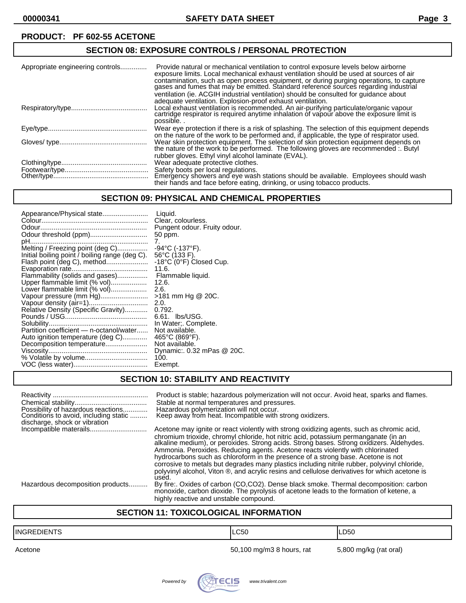## **SECTION 08: EXPOSURE CONTROLS / PERSONAL PROTECTION**

| Appropriate engineering controls | Provide natural or mechanical ventilation to control exposure levels below airborne<br>exposure limits. Local mechanical exhaust ventilation should be used at sources of air<br>contamination, such as open process equipment, or during purging operations, to capture gases and fumes that may be emitted. Standard reference sources regarding industrial<br>ventilation (ie. ACGIH industrial ventilation) should be consulted for quidance about<br>adequate ventilation. Explosion-proof exhaust ventilation. |
|----------------------------------|----------------------------------------------------------------------------------------------------------------------------------------------------------------------------------------------------------------------------------------------------------------------------------------------------------------------------------------------------------------------------------------------------------------------------------------------------------------------------------------------------------------------|
|                                  | Local exhaust ventilation is recommended. An air-purifying particulate/organic vapour cartridge respirator is required anytime inhalation of vapour above the exposure limit is<br>possible                                                                                                                                                                                                                                                                                                                          |
|                                  | Wear eye protection if there is a risk of splashing. The selection of this equipment depends<br>on the nature of the work to be performed and, if applicable, the type of respirator used.                                                                                                                                                                                                                                                                                                                           |
|                                  | Wear skin protection equipment. The selection of skin protection equipment depends on the nature of the work to be performed. The following gloves are recommended :. Butyl                                                                                                                                                                                                                                                                                                                                          |
|                                  | rubber gloves. Ethyl vinyl alcohol laminate (EVAL).<br>Wear adequate protective clothes.<br>Safety boots per local regulations.<br>Emergency showers and eye wash stations should be available. Employees should wash<br>their hands and face before eating, drinking, or using tobacco products.                                                                                                                                                                                                                    |

## **SECTION 09: PHYSICAL AND CHEMICAL PROPERTIES**

| Appearance/Physical state                      | Liquid.                              |
|------------------------------------------------|--------------------------------------|
|                                                | Clear, colourless.                   |
|                                                | Pungent odour. Fruity odour.         |
|                                                | 50 ppm.                              |
|                                                | 7.                                   |
| Melting / Freezing point (deg C)               | $-94^{\circ}$ C (-137 $^{\circ}$ F). |
| Initial boiling point / boiling range (deg C). | 56°C (133 F).                        |
|                                                | -18°C (0°F) Closed Cup.              |
|                                                | 11.6.                                |
| Flammability (solids and gases)                | Flammable liquid.                    |
| Upper flammable limit (% vol)                  | 12.6.                                |
| Lower flammable limit (% vol)                  | 2.6.                                 |
| Vapour pressure (mm Hg)                        | >181 mm Hg @ 20C.                    |
|                                                | 2.0.                                 |
| Relative Density (Specific Gravity)            | 0.792.                               |
|                                                | 6.61. lbs/USG.                       |
|                                                | In Water:. Complete.                 |
| Partition coefficient - n-octanol/water        | Not available.                       |
| Auto ignition temperature (deg C)              | 465°C (869°F).                       |
| Decomposition temperature                      | Not available.                       |
|                                                | Dynamic:. 0.32 mPas @ 20C.           |
|                                                | 100.                                 |
|                                                | Exempt.                              |

## **SECTION 10: STABILITY AND REACTIVITY**

| Possibility of hazardous reactions<br>Conditions to avoid, including static<br>discharge, shock or vibration<br>Incompatible materails | Product is stable; hazardous polymerization will not occur. Avoid heat, sparks and flames.<br>Stable at normal temperatures and pressures.<br>Hazardous polymerization will not occur.<br>Keep away from heat. Incompatible with strong oxidizers.<br>Acetone may ignite or react violently with strong oxidizing agents, such as chromic acid,<br>chromium trioxide, chromyl chloride, hot nitric acid, potassium permanganate (in an<br>alkaline medium), or peroxides. Strong acids. Strong bases. Strong oxidizers. Aldehydes.<br>Ammonia. Peroxides. Reducing agents. Acetone reacts violently with chlorinated<br>hydrocarbons such as chloroform in the presence of a strong base. Acetone is not<br>corrosive to metals but degrades many plastics including nitrile rubber, polyvinyl chloride,<br>polyvinyl alcohol, Viton ®, and acrylic resins and cellulose derivatives for which acetone is |
|----------------------------------------------------------------------------------------------------------------------------------------|-----------------------------------------------------------------------------------------------------------------------------------------------------------------------------------------------------------------------------------------------------------------------------------------------------------------------------------------------------------------------------------------------------------------------------------------------------------------------------------------------------------------------------------------------------------------------------------------------------------------------------------------------------------------------------------------------------------------------------------------------------------------------------------------------------------------------------------------------------------------------------------------------------------|
|                                                                                                                                        | used.                                                                                                                                                                                                                                                                                                                                                                                                                                                                                                                                                                                                                                                                                                                                                                                                                                                                                                     |
| Hazardous decomposition products                                                                                                       | By fire: Oxides of carbon (CO,CO2). Dense black smoke. Thermal decomposition: carbon<br>monoxide, carbon dioxide. The pyrolysis of acetone leads to the formation of ketene, a<br>highly reactive and unstable compound.                                                                                                                                                                                                                                                                                                                                                                                                                                                                                                                                                                                                                                                                                  |

## **SECTION 11: TOXICOLOGICAL INFORMATION**

| <b>INGREDIENTS</b> | <b>LC50</b>               | LD <sub>50</sub>       |
|--------------------|---------------------------|------------------------|
| Acetone            | 50,100 mg/m3 8 hours, rat | 5,800 mg/kg (rat oral) |
|                    |                           |                        |

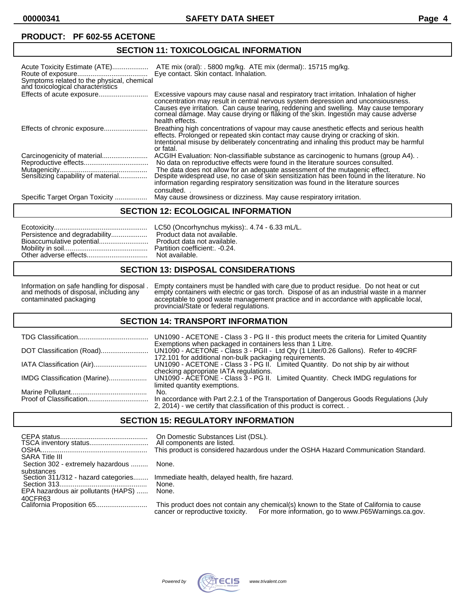## **SECTION 11: TOXICOLOGICAL INFORMATION**

| Acute Toxicity Estimate (ATE)<br>Symptoms related to the physical, chemical<br>and toxicological characteristics | ATE mix (oral): . 5800 mg/kg. ATE mix (dermal): . 15715 mg/kg.<br>Eye contact. Skin contact. Inhalation.                                                                                                                                                                                                                                                                                                                                  |
|------------------------------------------------------------------------------------------------------------------|-------------------------------------------------------------------------------------------------------------------------------------------------------------------------------------------------------------------------------------------------------------------------------------------------------------------------------------------------------------------------------------------------------------------------------------------|
|                                                                                                                  | Excessive vapours may cause nasal and respiratory tract irritation. Inhalation of higher<br>concentration may result in central nervous system depression and unconsiousness.<br>Causes eye irritation. Can cause tearing, reddening and swelling. May cause temporary<br>corneal dámage. May cause drying or flaking of the skin. Ingestion may cause adverse<br>health effects.                                                         |
|                                                                                                                  | Breathing high concentrations of vapour may cause anesthetic effects and serious health<br>effects. Prolonged or repeated skin contact may cause drying or cracking of skin.<br>Intentional misuse by deliberately concentrating and inhaling this product may be harmful<br>or fatal.                                                                                                                                                    |
| Sensitizing capability of material                                                                               | ACGIH Evaluation: Non-classifiable substance as carcinogenic to humans (group A4).<br>No data on reproductive effects were found in the literature sources consulted.<br>The data does not allow for an adequate assessment of the mutagenic effect.<br>Despite widespread use, no case of skin sensitization has been found in the literature. No<br>information regarding respiratory sensitization was found in the literature sources |
| Specific Target Organ Toxicity                                                                                   | consulted.<br>May cause drowsiness or dizziness. May cause respiratory irritation.                                                                                                                                                                                                                                                                                                                                                        |

#### **SECTION 12: ECOLOGICAL INFORMATION**

#### **SECTION 13: DISPOSAL CONSIDERATIONS**

Information on safe handling for disposal . Empty containers must be handled with care due to product residue. Do not heat or cut and methods of disposal, including any empty containers with electric or gas torch. Dispose of as an industrial waste in a manner and methods of disposal, including any empty containers with electric or gas torch. Dispose of as an industrial waste in a manne<br>contaminated packaging acceptable to good waste management practice and in accordance with ap provincial/State or federal regulations.

#### **SECTION 14: TRANSPORT INFORMATION**

|                              | UN1090 - ACETONE - Class 3 - PG II - this product meets the criteria for Limited Quantity                                                                        |
|------------------------------|------------------------------------------------------------------------------------------------------------------------------------------------------------------|
|                              | Exemptions when packaged in containers less than 1 Litre.<br>172.101 for additional non-bulk packaging requirements.                                             |
| IATA Classification (Air)    | UN1090 - ACETONE - Class 3 - PG II. Limited Quantity. Do not ship by air without<br>checking appropriate IATA regulations.                                       |
| IMDG Classification (Marine) | UN1090 - ACETONE - Class 3 - PG II. Limited Quantity. Check IMDG regulations for<br>limited quantity exemptions.                                                 |
|                              | No.                                                                                                                                                              |
|                              | In accordance with Part 2.2.1 of the Transportation of Dangerous Goods Regulations (July<br>2, 2014) - we certify that classification of this product is correct |

#### **SECTION 15: REGULATORY INFORMATION**

| <b>SARA Title III</b>                             | On Domestic Substances List (DSL).<br>All components are listed.<br>This product is considered hazardous under the OSHA Hazard Communication Standard.                          |
|---------------------------------------------------|---------------------------------------------------------------------------------------------------------------------------------------------------------------------------------|
| Section 302 - extremely hazardous                 | None.                                                                                                                                                                           |
| substances<br>Section 311/312 - hazard categories | Immediate health, delayed health, fire hazard.<br>None.                                                                                                                         |
| EPA hazardous air pollutants (HAPS)               | None.                                                                                                                                                                           |
| 40CFR63                                           |                                                                                                                                                                                 |
|                                                   | This product does not contain any chemical(s) known to the State of California to cause<br>cancer or reproductive toxicity. For more information, go to www.P65Warnings.ca.gov. |